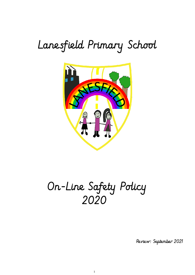# Lanesfield Primary School



## On-Line Safety Policy 2020

1

Review: September 2021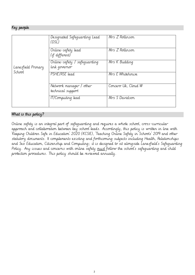## Key people

| Lanesfield Primary<br>School | Designated Safeguarding Lead<br>(DSL)           | Mrs Z Rollinson     |
|------------------------------|-------------------------------------------------|---------------------|
|                              | Online-safety lead<br>(if different)            | Mrs Z Rollinson     |
|                              | Online-safety / safeguarding<br>link governor   | Mrs K Budding       |
|                              | PSHE/RSE lead                                   | Mrs E Whitehouse    |
|                              | Network manager /<br>other<br>technical support | Concero Uk, Cloud W |
|                              | IT/Computing lead                               | Mrs S Davidson      |

## What is this policy?

Online safety is an integral part of safeguarding and requires a whole school, cross-curricular approach and collaboration between key school leads. Accordingly, this policy is written in line with 'Keeping Children Safe in Education' 2020 (KCSIE), 'Teaching Online Safety in Schools' 2019 and other statutory documents. It complements existing and forthcoming subjects including Health, Relationships and Sex Education, Citizenship and Computing; it is designed to sit alongside Lanesfield's Safeguarding Policy. Any issues and concerns with online safety <u>must</u> follow the school's safeguarding and child protection procedures. This policy should be reviewed annually.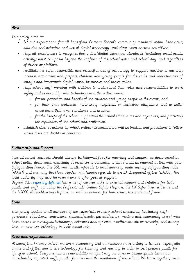#### Aims

This policy aims to:

- Set out expectations for all Lanesfield Primary School's community members' online behaviour, attitudes and activities and use of digital technology (including when devices are offline)
- Help all stakeholders to recognise that online/digital behaviour standards (including social media activity) must be upheld beyond the confines of the school gates and school day, and regardless of device or platform
- Facilitate the safe, responsible and respectful use of technology to support teaching  $\alpha$  learning, increase attainment and prepare children and young people for the risks and opportunities of today's and tomorrow's digital world, to survive and thrive online
- Help school staff working with children to understand their roles and responsibilities to work safely and responsibly with technology and the online world:
	- o for the protection and benefit of the children and young people in their care, and
	- o for their own protection, minimising misplaced or malicious allegations and to better understand their own standards and practice
	- o for the benefit of the school, supporting the school ethos, aims and objectives, and protecting the reputation of the school and profession
- Establish clear structures by which online misdemeanours will be treated, and procedures to follow where there are doubts or concerns.

#### Further Help and Support

Internal school channels should always be followed first for reporting and support, as documented in school policy documents, especially in response to incidents, which should be reported in line with your Safeguarding Policy. The DSL will handle referrals to local authority multi-agency safeguarding hubs (MASH) and normally the Head Teacher will handle referrals to the LA designated officer (LADO). The local authority may also have advisors to offer general support.

Beyond this, [reporting.lgfl.net](https://reporting.lgfl.net/) has a list of curated links to external support and helplines for both pupils and staff, including the Professionals' Online-Safety Helpline, the UK Safer Internet Centre and the NSPCC Whistleblowing Helpline, as well as hotlines for hate crime, terrorism and fraud.

#### **Scope**

This policy applies to all members of the Lanesfield Primary School community (including staff, governors, volunteers, contractors, students/pupils, parents/carers, visitors and community users) who have access to our digital technology, networks and systems, whether on-site or remotely, and at any time, or who use technology in their school role.

#### Roles and responsibilities

At Lanesfield Primary School we are a community and all members have a duty to behave respectfully online and offline and to use technology for teaching and learning in order to best prepare pupils for life after school. Everyone has a responsibility to report any concerns or inappropriate behaviour immediately, to protect staff, pupils, families and the reputation of the school. We learn together, make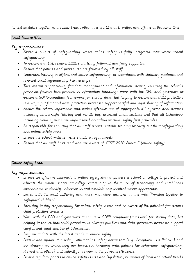honest mistakes together and support each other in a world that is online and offline at the same time.

#### Head Teacher/DSL

## Key responsibilities:

- Foster a culture of safeguarding where online safety is fully integrated into whole-school safeguarding
- To ensure that DSL responsibilities are being followed and fully supported
- Ensure that policies and procedures are followed by all staff
- Undertake training in offline and online safeguarding, in accordance with statutory guidance and relevant Local Safeguarding Partnerships
- Take overall responsibility for data management and information security ensuring the school's provision follows best practice in information handling; work with the DPO and governors to ensure a GDPR-compliant framework for storing data, but helping to ensure that child protection is always put first and data-protection processes support careful and legal sharing of information
- Ensure the school implements and makes effective use of appropriate ICT systems and services including school-safe filtering and monitoring, protected email systems and that all technology including cloud systems are implemented according to child-safety first principles
- Be responsible for ensuring that all staff receive suitable training to carry out their safeguarding and online safety roles
- Ensure the school website meets statutory requirements
- Ensure that all staff have read and are aware of KCSIE 2020 Annex C (online safety)

## Online Safety Lead

#### Key responsibilities:

- Ensure an effective approach to online safety that empowers a school or college to protect and educate the whole school or college community in their use of technology and establishes mechanisms to identify, intervene in and escalate any incident where appropriate.
- Liaise with the local authority and work with other agencies in line with "Working together to safeguard children"
- Take day to day responsibility for online safety issues and be aware of the potential for serious child protection concerns
- Work with the DPO and governors to ensure a GDPR-compliant framework for storing data, but helping to ensure that child protection is always put first and data-protection processes support careful and legal sharing of information
- Stay up to date with the latest trends in online safety
- Review and update this policy, other online safety documents (e.g. Acceptable Use Policies) and the strategy on which they are based (in harmony with policies for behaviour, safeguarding, Prevent and others) and submit for review to the governors/trustees.
- Receive regular updates in online safety issues and legislation, be aware of local and school trends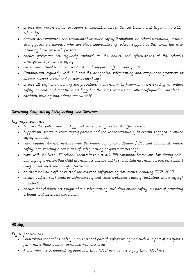- Ensure that online safety education is embedded across the curriculum and beyond, in wider school life
- Promote an awareness and commitment to online safety throughout the school community, with a strong focus on parents, who are often appreciative of school support in this area, but also including hard-to-reach parents
- Ensure governors are regularly updated on the nature and effectiveness of the school's arrangements for online safety
- Liaise with school technical, pastoral, and support staff as appropriate
- Communicate regularly with SLT and the designated safeguarding and compliance governors to discuss current issues and review incident logs
- Ensure all staff are aware of the procedures that need to be followed in the event of an online safety incident, and that these are logged in the same way as any other safeguarding incident
- Facilitate training and advice for all staff.

## Governing Body, led by Safeguarding Link Governor

## Key responsibilities:

- Approve this policy and strategy and subsequently review its effectiveness
- Support the school in encouraging parents and the wider community to become engaged in online safety activities
- Have regular strategic reviews with the online-safety co-ordinator / DSL and incorporate online safety into standing discussions of safeguarding at governor meetings
- Work with the DPO, DSL/Head Teacher to ensure a GDPR-compliant framework for storing data, but helping to ensure that child protection is always put first and data-protection processes support careful and legal sharing of information
- Be clear that all staff have read the relevant safeguarding documents including KCSIE 2020
- Ensure that all staff undergo safeguarding and child protection training (including online safety) at induction.
- Ensure that children are taught about safeguarding, including online safety, as part of providing a broad and balanced curriculum

## All staff

## Key responsibilities:

- Understand that online safety is an essential part of safeguarding; as such it is part of everyone's job - never think that someone else will pick it up
- Know who the Designated Safeguarding Lead (DSL) and Online Safety Lead (OSL) are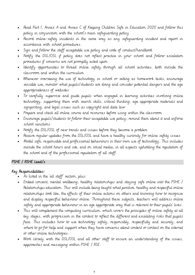- Read Part 1, Annex A and Annex C of Keeping Children Safe in Education 2020 and follow this policy in conjunction with the school's main safeguarding policy
- Record online-safety incidents in the same way as any safeguarding incident and report in accordance with school procedures.
- Sign and follow the staff acceptable use policy and code of conduct/handbook
- Notify the DSL/OSL if policy does not reflect practice in your school and follow escalation procedures if concerns are not promptly acted upon
- Identify opportunities to thread online safety through all school activities, both outside the classroom and within the curriculum
- Whenever overseeing the use of technology in school or setting as homework tasks, encourage sensible use, monitor what pupils/students are doing and consider potential dangers and the age appropriateness of websites
- To carefully supervise and guide pupils when engaged in learning activities involving online technology, supporting them with search skills, critical thinking, age appropriate materials and signposting, and legal issues such as copyright and data law
- Prepare and check all online source and resources before using within the classroom
- Encourage pupils/students to follow their acceptable use policy, remind them about it and enforce school sanctions
- Notify the DSL/OSL of new trends and issues before they become a problem
- Receive regular updates from the DSL/OSL and have a healthy curiosity for online safety issues
- Model safe, responsible and professional behaviours in their own use of technology. This includes outside the school hours and site, and on social media, in all aspects upholding the reputation of the school and of the professional reputation of all staff.

## PSHE / RSHE Lead/s

## Key Responsibilities:

- As listed in the 'all staff' section, plus:
- Embed consent, mental wellbeing, healthy relationships and staying safe online into the PSHE / Relationships education. This will include being taught what positive, healthy and respectful online relationships look like, the effects of their online actions on others and knowing how to recognise and display respectful behaviour online. Throughout these subjects, teachers will address online safety and appropriate behaviour in an age appropriate way that is relevant to their pupils' lives.
- This will complement the computing curriculum, which covers the principles of online safety at all key stages, with progression in the content to reflect the different and escalating risks that pupils face. This includes how to use technology safely, responsibly, respectfully and securely, and where to go for help and support when they have concerns about content or contact on the internet or other online technologies.
- Work closely with the DSL/OSL and all other staff to ensure an understanding of the issues, approaches and messaging within PSHE / RSE.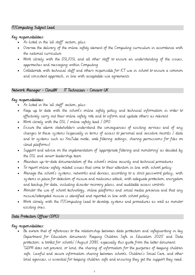## IT/Computing Subject Lead

## Key responsibilities:

- As listed in the 'all staff' section, plus:
- Oversee the delivery of the online safety element of the Computing curriculum in accordance with the national curriculum
- Work closely with the DSL/OSL and all other staff to ensure an understanding of the issues, approaches and messaging within Computing
- Collaborate with technical staff and others responsible for ICT use in school to ensure a common and consistent approach, in line with acceptable-use agreements

#### Network Manager - CloudW IT Technician - Concero UK

## Key responsibilities:

- As listed in the 'all staff' section, plus:
- Keep up to date with the school's online safety policy and technical information in order to effectively carry out their online safety role and to inform and update others as relevant
- Work closely with the DSL / online safety lead / DPO
- Ensure the above stakeholders understand the consequences of existing services and of any changes to these systems (especially in terms of access to personal and sensitive records / data and to systems such as YouTube mode, web filtering settings, sharing permissions for files on cloud platforms)
- Support and advise on the implementation of 'appropriate filtering and monitoring' as decided by the DSL and senior leadership team
- Maintain up-to-date documentation of the school's online security and technical procedures
- To report online-safety related issues that come to their attention in line with school policy
- Manage the school's systems, networks and devices, according to a strict password policy, with systems in place for detection of misuse and malicious attack, with adequate protection, encryption and backup for data, including disaster recovery plans, and auditable access controls
- Monitor the use of school technology, online platforms and social media presence] and that any misuse/attempted misuse is identified and reported in line with school policy
- Work closely with the IT/Computing Lead to develop systems and procedures as well as monitor existing ones.

## Data Protection Officer (DPO)

## Key responsibilities:

• Be aware that of references to the relationship between data protection and safeguarding in key Department for Education documents 'Keeping Children Safe in Education 2020' and 'Data protection: a toolkit for schools' (August 2018), especially this quote from the latter document: "GDPR does not prevent, or limit, the sharing of information for the purposes of keeping children safe. Lawful and secure information sharing between schools, Children's Social Care, and other local agencies, is essential for keeping children safe and ensuring they get the support they need.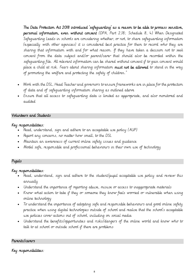The Data Protection Act 2018 introduced 'safeguarding' as a reason to be able to process sensitive, personal information, even without consent (DPA, Part 2,18; Schedule 8, 4) When Designated Safeguarding Leads in schools are considering whether, or not, to share safeguarding information (especially with other agencies) it is considered best practice for them to record who they are sharing that information with and for what reason. If they have taken a decision not to seek consent from the data subject and/or parent/carer that should also be recorded within the safeguarding file. All relevant information can be shared without consent if to gain consent would place a child at risk. Fears about sharing information must not be allowed to stand in the way of promoting the welfare and protecting the safety of children."

- Work with the DSL, Head Teacher and governors to ensure frameworks are in place for the protection of data and of safeguarding information sharing as outlined above
- Ensure that all access to safeguarding data is limited as appropriate, and also monitored and audited

#### Volunteers and Students

#### Key responsibilities:

- Read, understand, sign and adhere to an acceptable use policy (AUP)
- Report any concerns, no matter how small, to the DSL
- Maintain an awareness of current online safety issues and guidance
- Model safe, responsible and professional behaviours in their own use of technology

## Pupils

#### Key responsibilities:

- Read, understand, sign and adhere to the student/pupil acceptable use policy and review this annually
- Understand the importance of reporting abuse, misuse or access to inappropriate materials
- Know what action to take if they or someone they know feels worried or vulnerable when using online technology
- To understand the importance of adopting safe and responsible behaviours and good online safety practice when using digital technologies outside of school and realise that the school's acceptable use policies cover actions out of school, including on social media
- Understand the benefits/opportunities and risks/dangers of the online world and know who to talk to at school or outside school if there are problems

#### Parents/carers

Key responsibilities: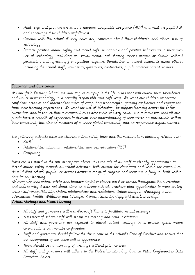- Read, sign and promote the school's parental acceptable use policy (AUP) and read the pupil AUP and encourage their children to follow it
- Consult with the school if they have any concerns about their children's and others' use of technology
- Promote positive online safety and model safe, responsible and positive behaviours in their own use of technology, including on social media: not sharing other's images or details without permission and refraining from posting negative, threatening or violent comments about others, including the school staff, volunteers, governors, contractors, pupils or other parents/carers.

#### Education and Curriculum

At Lanesfield Primary School, we aim to give our pupils the life-skills that will enable them to embrace and utilise new technology in a socially responsible and safe way. We want our children to become confident, creative and independent users of computing technologies, gaining confidence and enjoyment from their learning experiences. We want the use of technology to support learning across the entire curriculum and to ensure that our curriculum is accessible to every child. It is our mission that all our pupils have a breadth of experience to develop their understanding of themselves as individuals within their community but also as members of a wider global community and as responsible digital citizens.

The following subjects have the clearest online safety links and the medium term planning reflects this:

- PSHE
- Relationships education, relationships and sex education (RSE)
- Computing

However, as stated in the role descriptors above, it is the role of all staff to identify opportunities to thread online safety through all school activities, both outside the classroom and within the curriculum. As a 1:1 IPad school, pupils use devices across a range of subjects and their use is fully in-built within day-to-day learning.

We recognise that online safety and broader digital resilience must be thread throughout the curriculum and that is why it does not stand alone as a linear subject. Teachers plan opportunities to work on key areas: Self-image/Identity, Online relationships and reputation, Online bullying, Managing online information, Health, Wellbeing and Lifestyle, Privacy, Security, Copyright and Ownership. Virtual Meetings and Home Learning

- All staff and governors will use Microsoft Teams to facilitate virtual meetings
- A member of school staff will set up the meeting and send invitations
- All staff and governors are expected to attend virtual meetings in a private space where conversations can remain confidential.
- Staff and governors should follow the dress code in the school's Code of Conduct and ensure that the background of the video call is appropriate
- There should be no recording of meetings without prior consent.
- All staff and governors will adhere to the Wolverhampton City Council Video Conferencing Data Protection Advice.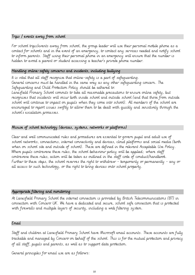#### Trips / events away from school

For school trips/events away from school, the group leader will use their personal mobile phone as a contact for schools and in the event of an emergency, to contact any services needed and notify school to inform parents. Staff using their personal phone in an emergency will ensure that the number is hidden to avoid a parent or student accessing a teacher's private phone number.

#### Handling online-safety concerns and incidents, including bullying

It is vital that all staff recognise that online-safety is a part of safeguarding. General concerns must be handled in the same way as any other safeguarding concern. The Safeguarding and Child Protection Policy should be adhered to.

Lanesfield Primary School commits to take all reasonable precautions to ensure online safety, but recognises that incidents will occur both inside school and outside school (and that those from outside school will continue to impact on pupils when they come into school). All members of the school are encouraged to report issues swiftly to allow them to be dealt with quickly and sensitively through the school's escalation processes.

## Misuse of school technology (devices, systems, networks or platforms)

Clear and well communicated rules and procedures are essential to govern pupil and adult use of school networks, connections, internet connectivity and devices, cloud platforms and social media (both when on school site and outside of school). These are defined in the relevant Acceptable Use Policy. Where pupils contravene these rules, the school behaviour policy will be applied; where staff contravene these rules, action will be taken as outlined in the staff code of conduct/handbook. Further to these steps, the school reserves the right to withdraw - temporarily or permanently - any or all access to such technology, or the right to bring devices onto school property.

#### Appropriate filtering and monitoring

At Lanesfield Primary School the internet connection is provided by British Telecommunications (BT) in connection with Concero UK. We have a dedicated and secure, school safe connection that is protected with firewalls and multiple layers of security, including a web filtering system.

#### Email

Staff and children at Lanesfield Primary School have Microsoft email accounts. These accounts are fully trackable and managed by Concero on behalf of the school. This is for the mutual protection and privacy of all staff, pupils and parents, as well as to support data protection.

General principles for email use are as follows: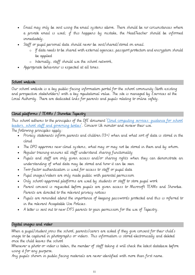- Email may only be sent using the email systems above. There should be no circumstances where a private email is used; if this happens by mistake, the HeadTeacher should be informed immediately.
- Staff or pupil personal data should never be sent/shared/stored on email.
	- o If data needs to be shared with external agencies, passport protection and encryption should be applied
		- o Internally, staff should use the school network,
- Appropriate behaviour is expected at all times.

## School website

Our school website is a key public-facing information portal for the school community (both existing and prospective stakeholders) with a key reputational value. The site is managed by Eservices at the Local Authority. There are dedicated links for parents and pupils relating to online safety.

## Cloud platforms / TEAMs / Showbie Tapestry

This school adheres to the principles of the DfE document '[Cloud computing services: guidance for school](https://www.gov.uk/government/publications/cloud-computing-how-schools-can-move-services-to-the-cloud)  [leaders, school staff and governing bodies](https://www.gov.uk/government/publications/cloud-computing-how-schools-can-move-services-to-the-cloud)'. Concero Uk monitor and review their use.

The following principles apply:

- Privacy statements inform parents and children (13+) when and what sort of data is stored in the cloud
- The DPO approves new cloud systems, what may or may not be stored in them and by whom.
- Regular training ensures all staff understand sharing functionality
- Pupils and staff are only given access and/or sharing rights when they can demonstrate an understanding of what data may be stored and how it can be seen
- Two-factor authentication is used for access to staff or pupil data
- Pupil images/videos are only made public with parental permission
- Only school-approved platforms are used by students or staff to store pupil work
- Parent consent is requested before pupils are given access to Microsoft TEAMs and Showbie. Parents are directed to the relevant privacy notices
- Pupils are reminded about the importance of keeping passwords protected and this is referred to in the relevant Acceptable Use Policies.
- A letter is sent out to new EYFS parents to gain permission for the use of Tapestry.

## Digital images and video

When a pupil/student joins the school, parents/carers are asked if they give consent for their child's image to be captured in photographs or videos. This information is stored electronically and deleted once the child leaves the school

Whenever a photo or video is taken, the member of staff taking it will check the latest database before using it for any purpose.

Any pupils shown in public facing materials are never identified with more than first name.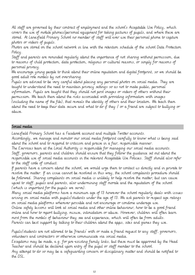All staff are governed by their contract of employment and the school's Acceptable Use Policy, which covers the use of mobile phones/personal equipment for taking pictures of pupils, and where these are stored. At Lanesfield Primary School no member of staff will ever use their personal phone to capture photos or videos of pupils.

Photos are stored on the school network in line with the retention schedule of the school Data Protection Policy.

Staff and parents are reminded regularly about the importance of not sharing without permission, due to reasons of child protection, data protection, religious or cultural reasons, or simply for reasons of personal privacy.

We encourage young people to think about their online reputation and digital footprint, so we should be good adult role models by not oversharing.

Pupils are advised to be very careful about placing any personal photos on social media. They are taught to understand the need to maintain privacy settings so as not to make public, personal information. Pupils are taught that they should not post images or videos of others without their permission. We teach them about the risks associated with providing information with images (including the name of the file), that reveals the identity of others and their location. We teach them about the need to keep their data secure and what to do if they / or a friend are subject to bullying or abuse.

#### Social media

Lanesfield Primary School has a Facebook account and multiple Twitter accounts.

Accordingly, we manage and monitor our social media footprint carefully to know what is being said about the school and to respond to criticism and praise in a fair, responsible manner.

The Eservices team at the Local Authority is responsible for managing our social media accounts. Staff, governors, parents and children should ensure that they follow the guidance set out about the responsible use of social media accounts in the relevant Acceptable Use Policies. Staff should also refer to the staff code of conduct.

If parents have a concern about the school, we would urge them to contact us directly and in private to resolve the matter. If an issue cannot be resolved in this way, the school complaints procedure should be followed. Sharing complaints on social media is unlikely to help resolve the matter, but can cause upset to staff, pupils and parents, also undermining staff morale and the reputation of the school (which is important for the pupils we serve).

Many social media platforms have a minimum age of 13 however the school regularly deals with issues arising on social media with pupils/students under the age of 13. We ask parents to respect age ratings on social media platforms wherever possible and not encourage or condone underage use. Online safety lessons will look at social media and other online behaviour, how to be a good friend online and how to report bullying, misuse, intimidation or abuse. However, children will often learn most from the models of behaviour they see and experience, which will often be from adults. Parents can best support by talking to their children about the apps, sites and games they use.

Pupils/students are not allowed to be 'friends' with or make a friend request to any staff, governors, volunteers and contractors or otherwise communicate via social media.

Exceptions may be made, e.g. for pre-existing family links, but these must be approved by the Head Teacher and should be declared upon entry of the pupil or staff member to the school.

Any attempt to do so may be a safeguarding concern or disciplinary matter and should be notified to the DSL.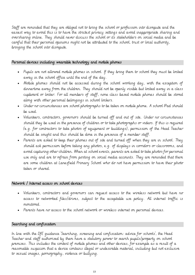Staff are reminded that they are obliged not to bring the school or profession into disrepute and the easiest way to avoid this is to have the strictest privacy settings and avoid inappropriate sharing and oversharing online. They should never discuss the school or its stakeholders on social media and be careful that their personal opinions might not be attributed to the school, trust or local authority, bringing the school into disrepute.

#### Personal devices including wearable technology and mobile phones

- Pupils are not allowed mobile phones in school. If they bring them to school they must be locked away in the school office until the end of the day.
- Mobile phones should not be accessed during the school working day, with the exception of dinnertime away from the children. They should not be openly visible but locked away in a class cupboard or locker. For all members of staff, none class based mobile phones should be stored along with other personal belongings in school lockers.
- Under no circumstances are school photographs to be taken on mobile phone. A school IPad should be used.
- Volunteers, contractors, governors should be turned off and out of site. Under no circumstances should they be used in the presence of children or to take photographs or videos. If this is required (e.g. for contractors to take photos of equipment or buildings), permission of the Head Teacher should be sought and this should be done in the presence of a member staff.
- Parents are asked to keep their phones out of site and turned off when they are in school. They should ask permission before taking any photos, e.g. of displays in corridors or classrooms, and avoid capturing other children. When at school events, parents are asked to take photos for personal use only and are to refrain from posting on social media accounts. They are reminded that there are some children at Lanesfield Primary School who do not have permission to have their photo taken or shared.

#### Network / Internet access on school devices

- Volunteers, contractors and governors can request access to the wireless network but have no access to networked files/drives, subject to the acceptable use policy. All internet traffic is monitored.
- Parents have no access to the school network or wireless internet on personal devices.

#### Searching and confiscation

In line with the DfE guidance 'Searching, screening and confiscation: advice for schools', the Head Teacher and staff authorised by them have a statutory power to search pupils/property on school premises. This includes the content of mobile phones and other devices, for example as a result of a reasonable suspicion that a device contains illegal or undesirable material, including but not exclusive to sexual images, pornography, violence or bullying.